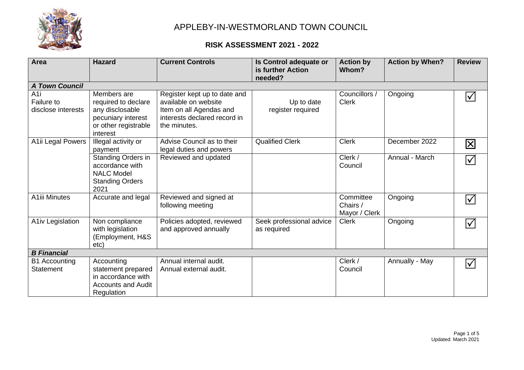

| <b>Area</b>                              | <b>Hazard</b>                                                                                                   | <b>Current Controls</b>                                                                                                         | Is Control adequate or<br>is further Action<br>needed? | <b>Action by</b><br>Whom?              | <b>Action by When?</b> | <b>Review</b>           |  |
|------------------------------------------|-----------------------------------------------------------------------------------------------------------------|---------------------------------------------------------------------------------------------------------------------------------|--------------------------------------------------------|----------------------------------------|------------------------|-------------------------|--|
| <b>A Town Council</b>                    |                                                                                                                 |                                                                                                                                 |                                                        |                                        |                        |                         |  |
| A1i<br>Failure to<br>disclose interests  | Members are<br>required to declare<br>any disclosable<br>pecuniary interest<br>or other registrable<br>interest | Register kept up to date and<br>available on website<br>Item on all Agendas and<br>interests declared record in<br>the minutes. | Up to date<br>register required                        | Councillors /<br><b>Clerk</b>          | Ongoing                | $\bm{\mathcal{b}}$      |  |
| A1ii Legal Powers                        | Illegal activity or<br>payment                                                                                  | Advise Council as to their<br>legal duties and powers                                                                           | <b>Qualified Clerk</b>                                 | <b>Clerk</b>                           | December 2022          | $\overline{\mathbf{X}}$ |  |
|                                          | Standing Orders in<br>accordance with<br><b>NALC Model</b><br><b>Standing Orders</b><br>2021                    | Reviewed and updated                                                                                                            |                                                        | Clerk /<br>Council                     | Annual - March         | $\bm{\mathcal{b}}$      |  |
| <b>A1iii Minutes</b>                     | Accurate and legal                                                                                              | Reviewed and signed at<br>following meeting                                                                                     |                                                        | Committee<br>Chairs /<br>Mayor / Clerk | Ongoing                | $\blacktriangledown$    |  |
| A1iv Legislation                         | Non compliance<br>with legislation<br>(Employment, H&S<br>etc)                                                  | Policies adopted, reviewed<br>and approved annually                                                                             | Seek professional advice<br>as required                | <b>Clerk</b>                           | Ongoing                | $ \surd $               |  |
| <b>B</b> Financial                       |                                                                                                                 |                                                                                                                                 |                                                        |                                        |                        |                         |  |
| <b>B1 Accounting</b><br><b>Statement</b> | Accounting<br>statement prepared<br>in accordance with<br><b>Accounts and Audit</b><br>Regulation               | Annual internal audit.<br>Annual external audit.                                                                                |                                                        | Clerk /<br>Council                     | Annually - May         | $\bm{\mathcal{V}}$      |  |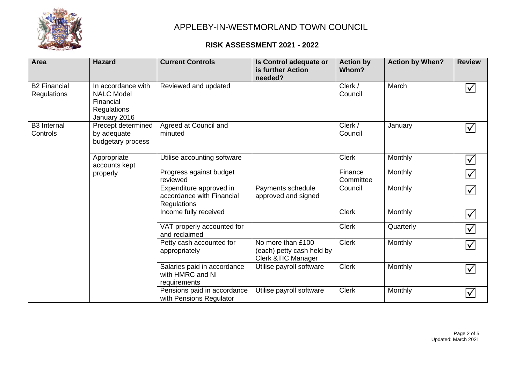

| <b>Area</b>                        | <b>Hazard</b>                                                                              | <b>Current Controls</b>                                                    | Is Control adequate or<br>is further Action<br>needed?                | <b>Action by</b><br>Whom? | <b>Action by When?</b> | <b>Review</b>                   |
|------------------------------------|--------------------------------------------------------------------------------------------|----------------------------------------------------------------------------|-----------------------------------------------------------------------|---------------------------|------------------------|---------------------------------|
| <b>B2 Financial</b><br>Regulations | In accordance with<br><b>NALC Model</b><br>Financial<br><b>Regulations</b><br>January 2016 | Reviewed and updated                                                       |                                                                       | Clerk /<br>Council        | March                  | $\blacktriangledown$            |
| <b>B3</b> Internal<br>Controls     | Precept determined<br>by adequate<br>budgetary process                                     | Agreed at Council and<br>minuted                                           |                                                                       | Clerk /<br>Council        | January                | $\blacktriangledown$            |
|                                    | Appropriate<br>accounts kept<br>properly                                                   | Utilise accounting software                                                |                                                                       | <b>Clerk</b>              | Monthly                | $\blacktriangledown$            |
|                                    |                                                                                            | Progress against budget<br>reviewed                                        |                                                                       | Finance<br>Committee      | Monthly                | $\blacktriangledown$            |
|                                    |                                                                                            | Expenditure approved in<br>accordance with Financial<br><b>Regulations</b> | Payments schedule<br>approved and signed                              | Council                   | Monthly                | $\blacktriangledown$            |
|                                    |                                                                                            | Income fully received                                                      |                                                                       | <b>Clerk</b>              | Monthly                | $\blacktriangledown$            |
|                                    |                                                                                            | VAT properly accounted for<br>and reclaimed                                |                                                                       | <b>Clerk</b>              | Quarterly              | $\overline{\blacktriangledown}$ |
|                                    |                                                                                            | Petty cash accounted for<br>appropriately                                  | No more than £100<br>(each) petty cash held by<br>Clerk & TIC Manager | <b>Clerk</b>              | Monthly                | $\blacktriangledown$            |
|                                    |                                                                                            | Salaries paid in accordance<br>with HMRC and NI<br>requirements            | Utilise payroll software                                              | <b>Clerk</b>              | Monthly                | $\sqrt{}$                       |
|                                    |                                                                                            | Pensions paid in accordance<br>with Pensions Regulator                     | Utilise payroll software                                              | <b>Clerk</b>              | Monthly                | $\blacktriangledown$            |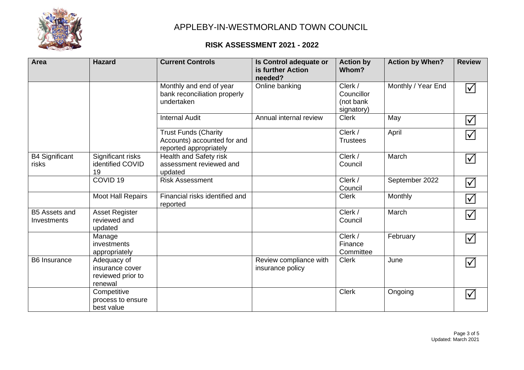

| Area                                | <b>Hazard</b>                                                  | <b>Current Controls</b>                                                              | Is Control adequate or<br>is further Action<br>needed? | <b>Action by</b><br>Whom?                        | <b>Action by When?</b> | <b>Review</b>        |
|-------------------------------------|----------------------------------------------------------------|--------------------------------------------------------------------------------------|--------------------------------------------------------|--------------------------------------------------|------------------------|----------------------|
|                                     |                                                                | Monthly and end of year<br>bank reconciliation properly<br>undertaken                | Online banking                                         | Clerk /<br>Councillor<br>(not bank<br>signatory) | Monthly / Year End     | $\blacktriangledown$ |
|                                     |                                                                | <b>Internal Audit</b>                                                                | Annual internal review                                 | <b>Clerk</b>                                     | May                    | $\blacktriangledown$ |
|                                     |                                                                | <b>Trust Funds (Charity</b><br>Accounts) accounted for and<br>reported appropriately |                                                        | Clerk /<br><b>Trustees</b>                       | April                  | $\blacktriangledown$ |
| <b>B4 Significant</b><br>risks      | Significant risks<br>identified COVID<br>19                    | Health and Safety risk<br>assessment reviewed and<br>updated                         |                                                        | Clerk /<br>Council                               | March                  | $\blacktriangledown$ |
|                                     | COVID <sub>19</sub>                                            | <b>Risk Assessment</b>                                                               |                                                        | Clerk /<br>Council                               | September 2022         | $\blacktriangledown$ |
|                                     | Moot Hall Repairs                                              | Financial risks identified and<br>reported                                           |                                                        | <b>Clerk</b>                                     | Monthly                | $\blacktriangledown$ |
| <b>B5 Assets and</b><br>Investments | <b>Asset Register</b><br>reviewed and<br>updated               |                                                                                      |                                                        | Clerk /<br>Council                               | March                  | $\blacktriangledown$ |
|                                     | Manage<br>investments<br>appropriately                         |                                                                                      |                                                        | Clerk /<br>Finance<br>Committee                  | February               | $\blacktriangledown$ |
| <b>B6</b> Insurance                 | Adequacy of<br>insurance cover<br>reviewed prior to<br>renewal |                                                                                      | Review compliance with<br>insurance policy             | <b>Clerk</b>                                     | June                   | $\blacktriangledown$ |
|                                     | Competitive<br>process to ensure<br>best value                 |                                                                                      |                                                        | <b>Clerk</b>                                     | Ongoing                | $\blacktriangledown$ |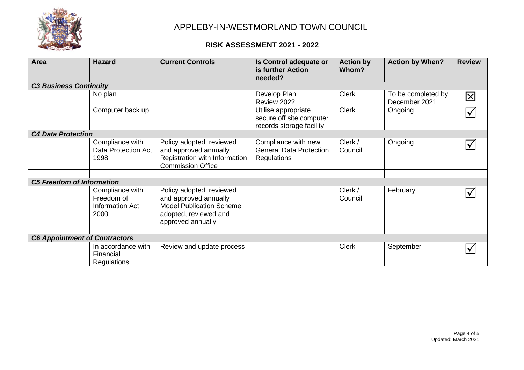

| <b>Area</b>                          | <b>Hazard</b>                                            | <b>Current Controls</b>                                                                                                            | Is Control adequate or<br>is further Action<br>needed?                      | <b>Action by</b><br>Whom? | <b>Action by When?</b>              | <b>Review</b>        |  |  |
|--------------------------------------|----------------------------------------------------------|------------------------------------------------------------------------------------------------------------------------------------|-----------------------------------------------------------------------------|---------------------------|-------------------------------------|----------------------|--|--|
| <b>C3 Business Continuity</b>        |                                                          |                                                                                                                                    |                                                                             |                           |                                     |                      |  |  |
|                                      | No plan                                                  |                                                                                                                                    | Develop Plan<br>Review 2022                                                 | <b>Clerk</b>              | To be completed by<br>December 2021 | $\boxtimes$          |  |  |
|                                      | Computer back up                                         |                                                                                                                                    | Utilise appropriate<br>secure off site computer<br>records storage facility | <b>Clerk</b>              | Ongoing                             | $ \surd $            |  |  |
| <b>C4 Data Protection</b>            |                                                          |                                                                                                                                    |                                                                             |                           |                                     |                      |  |  |
|                                      | Compliance with<br>Data Protection Act<br>1998           | Policy adopted, reviewed<br>and approved annually<br>Registration with Information<br><b>Commission Office</b>                     | Compliance with new<br><b>General Data Protection</b><br><b>Regulations</b> | Clerk /<br>Council        | Ongoing                             | $\bm{\mathcal{V}}$   |  |  |
|                                      |                                                          |                                                                                                                                    |                                                                             |                           |                                     |                      |  |  |
| <b>C5 Freedom of Information</b>     |                                                          |                                                                                                                                    |                                                                             |                           |                                     |                      |  |  |
|                                      | Compliance with<br>Freedom of<br>Information Act<br>2000 | Policy adopted, reviewed<br>and approved annually<br><b>Model Publication Scheme</b><br>adopted, reviewed and<br>approved annually |                                                                             | Clerk /<br>Council        | February                            | $\bm{\mathcal{V}}$   |  |  |
|                                      |                                                          |                                                                                                                                    |                                                                             |                           |                                     |                      |  |  |
| <b>C6 Appointment of Contractors</b> |                                                          |                                                                                                                                    |                                                                             |                           |                                     |                      |  |  |
|                                      | In accordance with<br>Financial<br>Regulations           | Review and update process                                                                                                          |                                                                             | <b>Clerk</b>              | September                           | $\blacktriangledown$ |  |  |